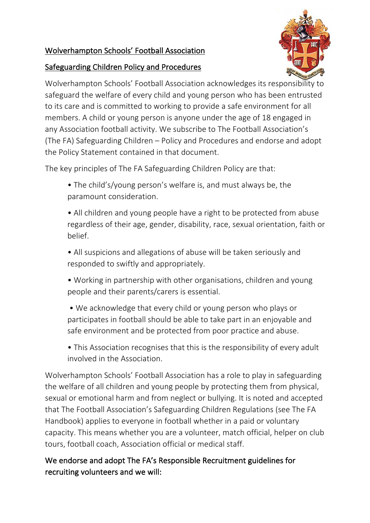## Wolverhampton Schools' Football Association

#### Safeguarding Children Policy and Procedures



Wolverhampton Schools' Football Association acknowledges its responsibility to safeguard the welfare of every child and young person who has been entrusted to its care and is committed to working to provide a safe environment for all members. A child or young person is anyone under the age of 18 engaged in any Association football activity. We subscribe to The Football Association's (The FA) Safeguarding Children – Policy and Procedures and endorse and adopt the Policy Statement contained in that document.

The key principles of The FA Safeguarding Children Policy are that:

- The child's/young person's welfare is, and must always be, the paramount consideration.
- All children and young people have a right to be protected from abuse regardless of their age, gender, disability, race, sexual orientation, faith or belief.
- All suspicions and allegations of abuse will be taken seriously and responded to swiftly and appropriately.
- Working in partnership with other organisations, children and young people and their parents/carers is essential.
- We acknowledge that every child or young person who plays or participates in football should be able to take part in an enjoyable and safe environment and be protected from poor practice and abuse.
- This Association recognises that this is the responsibility of every adult involved in the Association.

Wolverhampton Schools' Football Association has a role to play in safeguarding the welfare of all children and young people by protecting them from physical, sexual or emotional harm and from neglect or bullying. It is noted and accepted that The Football Association's Safeguarding Children Regulations (see The FA Handbook) applies to everyone in football whether in a paid or voluntary capacity. This means whether you are a volunteer, match official, helper on club tours, football coach, Association official or medical staff.

# We endorse and adopt The FA's Responsible Recruitment guidelines for recruiting volunteers and we will: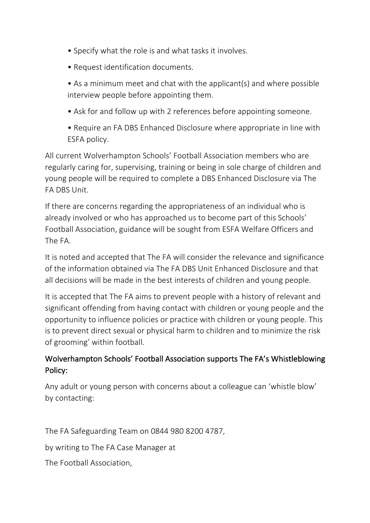- Specify what the role is and what tasks it involves.
- Request identification documents.
- As a minimum meet and chat with the applicant(s) and where possible interview people before appointing them.
- Ask for and follow up with 2 references before appointing someone.
- Require an FA DBS Enhanced Disclosure where appropriate in line with ESFA policy.

All current Wolverhampton Schools' Football Association members who are regularly caring for, supervising, training or being in sole charge of children and young people will be required to complete a DBS Enhanced Disclosure via The FA DBS Unit.

If there are concerns regarding the appropriateness of an individual who is already involved or who has approached us to become part of this Schools' Football Association, guidance will be sought from ESFA Welfare Officers and The FA.

It is noted and accepted that The FA will consider the relevance and significance of the information obtained via The FA DBS Unit Enhanced Disclosure and that all decisions will be made in the best interests of children and young people.

It is accepted that The FA aims to prevent people with a history of relevant and significant offending from having contact with children or young people and the opportunity to influence policies or practice with children or young people. This is to prevent direct sexual or physical harm to children and to minimize the risk of grooming' within football.

## Wolverhampton Schools' Football Association supports The FA's Whistleblowing Policy:

Any adult or young person with concerns about a colleague can 'whistle blow' by contacting:

The FA Safeguarding Team on 0844 980 8200 4787,

by writing to The FA Case Manager at

The Football Association,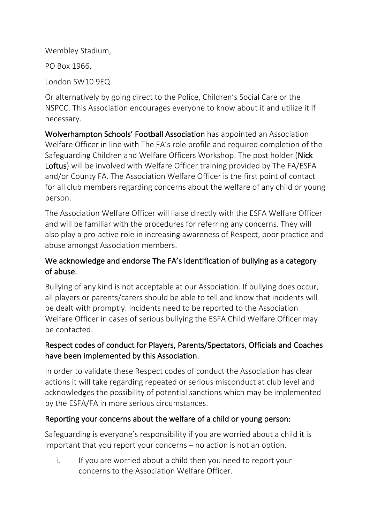Wembley Stadium,

PO Box 1966,

London SW10 9EQ

Or alternatively by going direct to the Police, Children's Social Care or the NSPCC. This Association encourages everyone to know about it and utilize it if necessary.

Wolverhampton Schools' Football Association has appointed an Association Welfare Officer in line with The FA's role profile and required completion of the Safeguarding Children and Welfare Officers Workshop. The post holder (Nick Loftus) will be involved with Welfare Officer training provided by The FA/ESFA and/or County FA. The Association Welfare Officer is the first point of contact for all club members regarding concerns about the welfare of any child or young person.

The Association Welfare Officer will liaise directly with the ESFA Welfare Officer and will be familiar with the procedures for referring any concerns. They will also play a pro-active role in increasing awareness of Respect, poor practice and abuse amongst Association members.

#### We acknowledge and endorse The FA's identification of bullying as a category of abuse.

Bullying of any kind is not acceptable at our Association. If bullying does occur, all players or parents/carers should be able to tell and know that incidents will be dealt with promptly. Incidents need to be reported to the Association Welfare Officer in cases of serious bullying the ESFA Child Welfare Officer may be contacted.

## Respect codes of conduct for Players, Parents/Spectators, Officials and Coaches have been implemented by this Association.

In order to validate these Respect codes of conduct the Association has clear actions it will take regarding repeated or serious misconduct at club level and acknowledges the possibility of potential sanctions which may be implemented by the ESFA/FA in more serious circumstances.

## Reporting your concerns about the welfare of a child or young person:

Safeguarding is everyone's responsibility if you are worried about a child it is important that you report your concerns – no action is not an option.

i. If you are worried about a child then you need to report your concerns to the Association Welfare Officer.